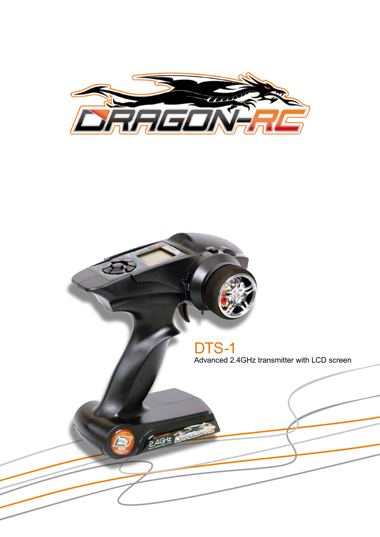

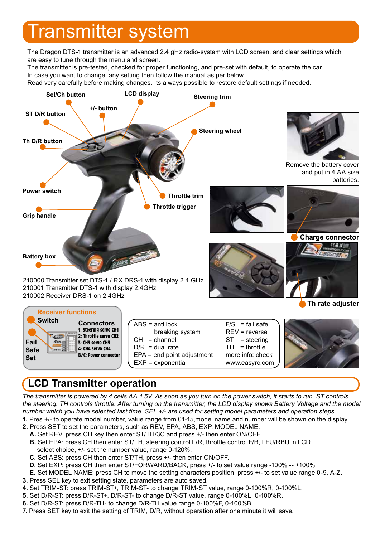# Transmitter system

The Dragon DTS-1 transmitter is an advanced 2.4 gHz radio-system with LCD screen, and clear settings which are easy to tune through the menu and screen.

The transmitter is pre-tested, checked for proper functioning, and pre-set with default, to operate the car. In case you want to change any setting then follow the manual as per below.

Read very carefully before making changes. Its always possible to restore default settings if needed.



## **LCD Transmitter operation**

*The transmitter is powered by 4 cells AA 1.5V. As soon as you turn on the power switch, it starts to run. ST controls the steering. TH controls throttle. After turning on the transmitter, the LCD display shows Battery Voltage and the model number which you have selected last time. SEL +/- are used for setting model parameters and operation steps.*

- **1.** Pres +/- to operate model number, value range from 01-15,model name and number will be shown on the display.
- **2.** Press SET to set the parameters, such as REV, EPA, ABS, EXP, MODEL NAME.
	- **A.** Set REV, press CH key then enter ST/TH/3C and press +/- then enter ON/OFF.  **B.** Set EPA: press CH then enter ST/TH, steering control L/R, throttle control F/B, LFU/RBU in LCD select choice, +/- set the number value, range 0-120%.
	- **C.** Set ABS: press CH then enter ST/TH, press +/- then enter ON/OFF.
	- **D.** Set EXP: press CH then enter ST/FORWARD/BACK, press +/- to set value range -100% -- +100%
- **E.** Set MODEL NAME: press CH to move the setting characters position, press +/- to set value range 0-9, A-Z.
- **3.** Press SEL key to exit setting state, parameters are auto saved.
- **4.** Set TRIM-ST: press TRIM-ST+, TRIM-ST- to change TRIM-ST value, range 0-100%R, 0-100%L.
- **5.** Set D/R-ST: press D/R-ST+, D/R-ST- to change D/R-ST value, range 0-100%L, 0-100%R.
- **6.** Set D/R-ST: press D/R-TH- to change D/R-TH value range 0-100%F, 0-100%B.
- **7.** Press SET key to exit the setting of TRIM, D/R, without operation after one minute it will save.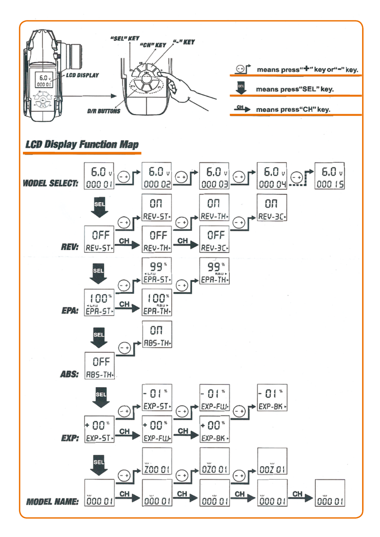

## **LCD Display Function Map**